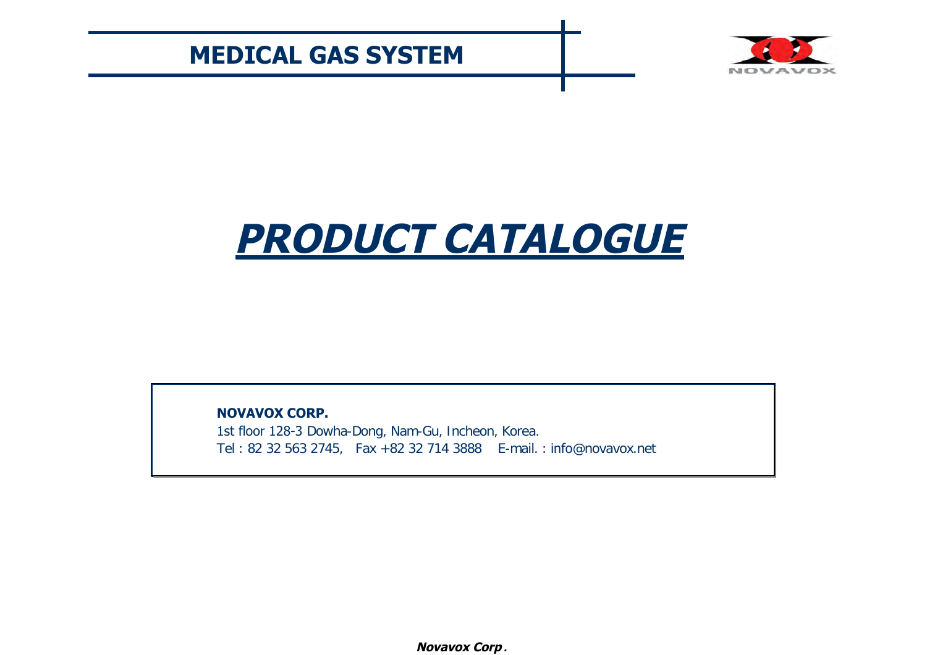

# **PRODUCT CATALOGUE**

**NOVAVOX CORP.**

1st floor 128-3 Dowha-Dong, Nam-Gu, Incheon, Korea. Tel : 82 32 563 2745, Fax +82 32 714 3888 E-mail. : info@novavox.net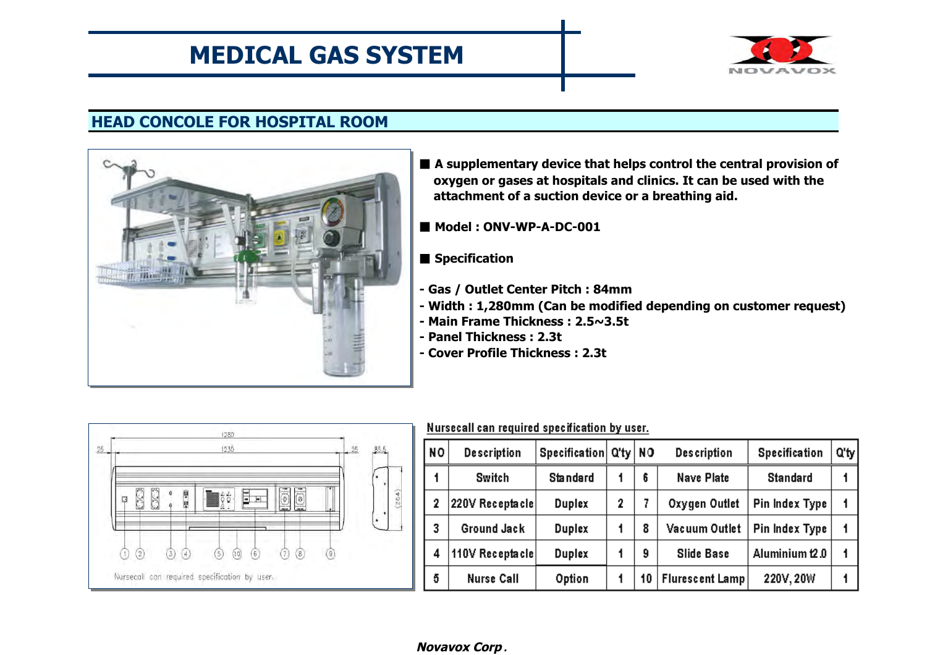

## **HEAD CONCOLE FOR HOSPITAL ROOM**



- A supplementary device that helps control the central provision of **oxygen or gases at hospitals and clinics. It can be used with the attachment of a suction device or a breathing aid.**
- Model : ONV-WP-A-DC-001
- **Specification**
- **Gas / Outlet Center Pitch : 84mm**
- **Width : 1,280mm (Can be modified depending on customer request)**
- **Main Frame Thickness : 2.5~3.5t**
- **Panel Thickness : 2.3t**
- **Cover Profile Thickness : 2.3t**



| <b>NO</b>      | <b>Description</b> | Specification Q'ty   NO |   |    | <b>Description</b>     | <b>Specification</b>  | Q'ty |
|----------------|--------------------|-------------------------|---|----|------------------------|-----------------------|------|
|                | Switch             | <b>Standard</b>         |   | 6  | Nave Plate             | <b>Standard</b>       |      |
| $\overline{2}$ | 220V Receptacle    | <b>Duplex</b>           | 2 |    | Oxygen Outlet          | <b>Pin Index Type</b> | 1    |
| 3              | Ground Jack        | <b>Duplex</b>           |   | 8  | Vacuum Outlet          | <b>Pin Index Type</b> |      |
| 4              | 110V Receptacle    | <b>Duplex</b>           |   | 9  | <b>Slide Base</b>      | Aluminium t2.0        |      |
| 5              | <b>Nurse Call</b>  | Option                  |   | 10 | <b>Flurescent Lamp</b> | 220V, 20W             |      |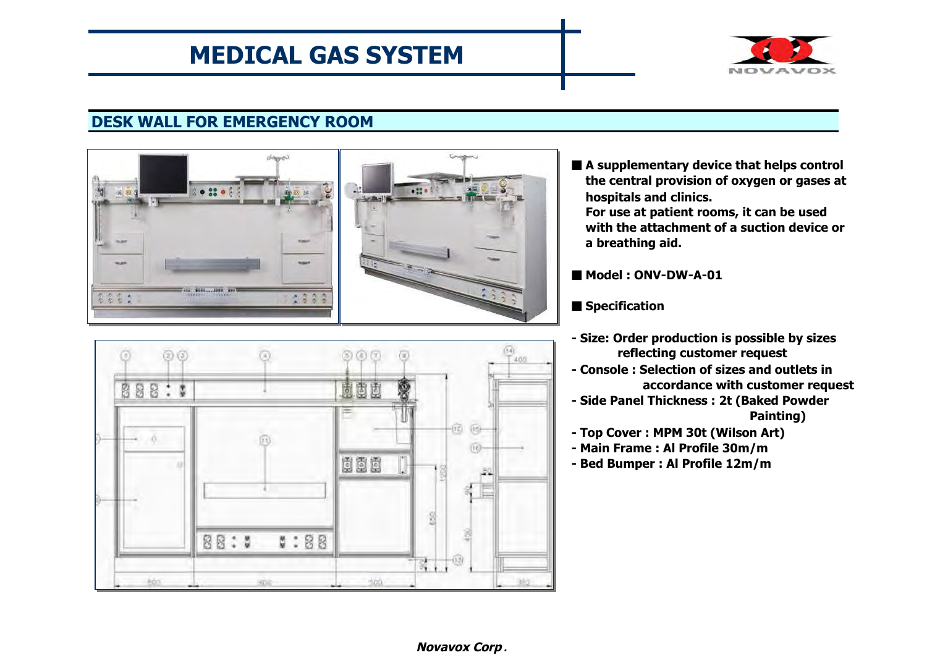

## **DESK WALL FOR EMERGENCY ROOM**





■ **A supplementary device that helps control the central provision of oxygen or gases at hospitals and clinics.**

**For use at patient rooms, it can be used with the attachment of a suction device or a breathing aid.**

■ Model: ONV-DW-A-01

■ **Specification** 

- **Size: Order production is possible by sizes reflecting customer request**
- **Console : Selection of sizes and outlets in accordance with customer request**
- **Side Panel Thickness : 2t (Baked Powder Painting)**
- **Top Cover : MPM 30t (Wilson Art)**
- **Main Frame : Al Profile 30m/m**
- **Bed Bumper : Al Profile 12m/m**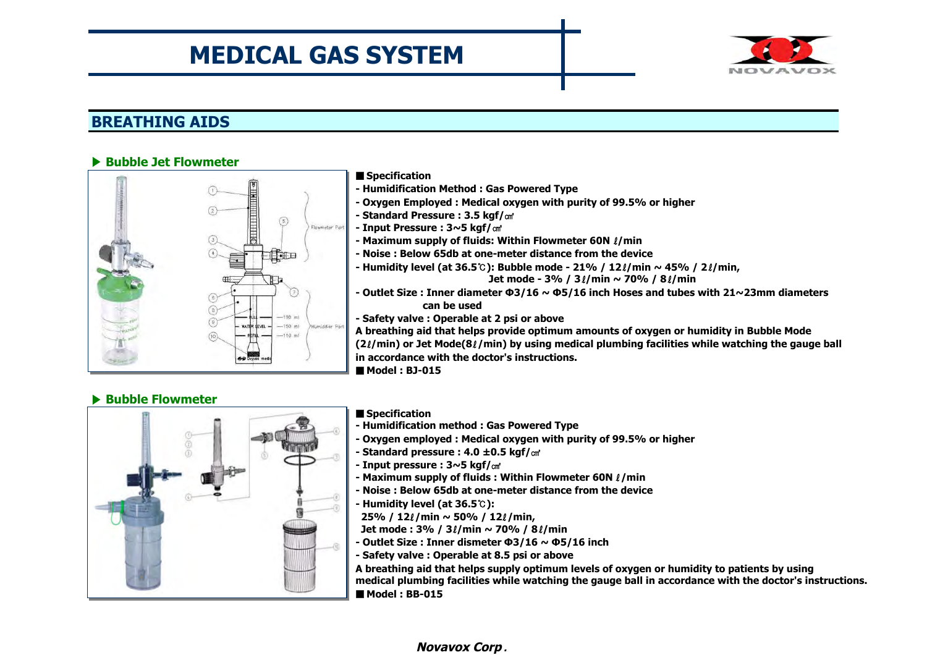

### **BREATHING AIDS**

#### ▶ **Bubble Jet Flowmeter**



#### ■ **Specification**

- **Humidification Method : Gas Powered Type**
- **Oxygen Employed : Medical oxygen with purity of 99.5% or higher**
- **Standard Pressure : 3.5 kgf/**㎠
- **Input Pressure : 3~5 kgf/**㎠
- **Maximum supply of fluids: Within Flowmeter 60N** ℓ**/min**
- **Noise : Below 65db at one-meter distance from the device**
- **Humidity level (at 36.5**℃**): Bubble mode 21% / 12**ℓ**/min ~ 45% / 2**ℓ**/min, Jet mode - 3% / 3**ℓ**/min ~ 70% / 8**ℓ**/min**
- **Outlet Size : Inner diameter Φ 3/16 ~ Φ 5/16 inch Hoses and tubes with 21~23mm diameters can be used**
- **Safety valve : Operable at 2 psi or above**

**A breathing aid that helps provide optimum amounts of oxygen or humidity in Bubble Mode (2**ℓ**/min) or Jet Mode(8**ℓ**/min) by using medical plumbing facilities while watching the gauge ball in accordance with the doctor's instructions.**

■ **Model : BJ-015**

#### ▶ **Bubble Flowmeter**



#### ■ **Specification**

- **Humidification method : Gas Powered Type**
- **Oxygen employed : Medical oxygen with purity of 99.5% or higher**
- **Standard pressure : 4.0 ± 0.5 kgf/**㎠
- **Input pressure : 3~5 kgf/**㎠
- **Maximum supply of fluids : Within Flowmeter 60N** ℓ**/min**
- **Noise : Below 65db at one-meter distance from the device**
- **Humidity level (at 36.5**℃**):**
- **25% / 12**ℓ**/min ~ 50% / 12**ℓ**/min,**

**Jet mode : 3% / 3**ℓ**/min ~ 70% / 8**ℓ**/min**

- **Outlet Size : Inner dismeter Φ 3/16 ~ Φ 5/16 inch**
- **Safety valve : Operable at 8.5 psi or above**

**A breathing aid that helps supply optimum levels of oxygen or humidity to patients by using medical plumbing facilities while watching the gauge ball in accordance with the doctor's instructions.** ■ **Model : BB-015**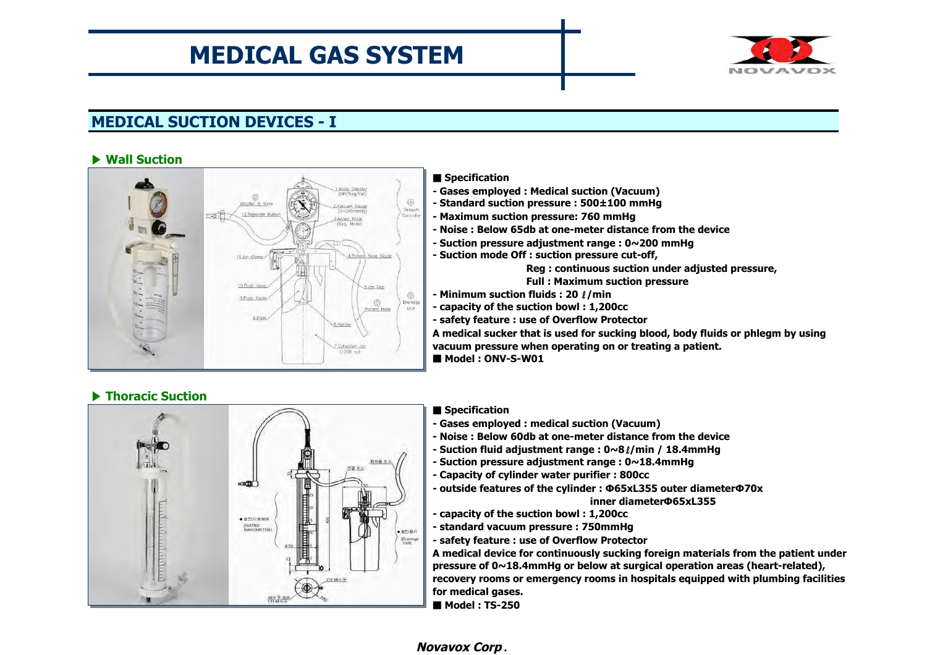

## **MEDICAL SUCTION DEVICES - I**

#### ▶ **Wall Suction**



### ▶ **Thoracic Suction**

#### ■ **Specification**

- **Gases employed : Medical suction (Vacuum)**
- **Standard suction pressure : 500± 100 mmHg**
- **Maximum suction pressure: 760 mmHg**
- **Noise : Below 65db at one-meter distance from the device**
- **Suction pressure adjustment range : 0~200 mmHg**
- **Suction mode Off : suction pressure cut-off,**

**Reg : continuous suction under adjusted pressure,**

- **Full : Maximum suction pressure**
- **Minimum suction fluids : 20** ℓ**/min**
- **capacity of the suction bowl : 1,200cc**
- **safety feature : use of Overflow Protector**

**A medical sucker that is used for sucking blood, body fluids or phlegm by using vacuum pressure when operating on or treating a patient.** ■ **Model : ONV-S-W01**

料功器 型 32.44  $\rightarrow$ ● 高空24 客組写 (WATER) • 898) (Dramage)<br>Urdij 2社略수구 ⊕ 番を子 28世

#### ■ **Specification**

- **Gases employed : medical suction (Vacuum)**
- **Noise : Below 60db at one-meter distance from the device**
- **Suction fluid adjustment range : 0~8**ℓ**/min / 18.4mmHg**
- **Suction pressure adjustment range : 0~18.4mmHg**
- **Capacity of cylinder water purifier : 800cc**
- **outside features of the cylinder : Φ 65xL355 outer diameterΦ 70x inner diameterΦ 65xL355**
- **capacity of the suction bowl : 1,200cc**
- **standard vacuum pressure : 750mmHg**
- **safety feature : use of Overflow Protector**

**A medical device for continuously sucking foreign materials from the patient under pressure of 0~18.4mmHg or below at surgical operation areas (heart-related), recovery rooms or emergency rooms in hospitals equipped with plumbing facilities for medical gases.** ■ **Model : TS-250**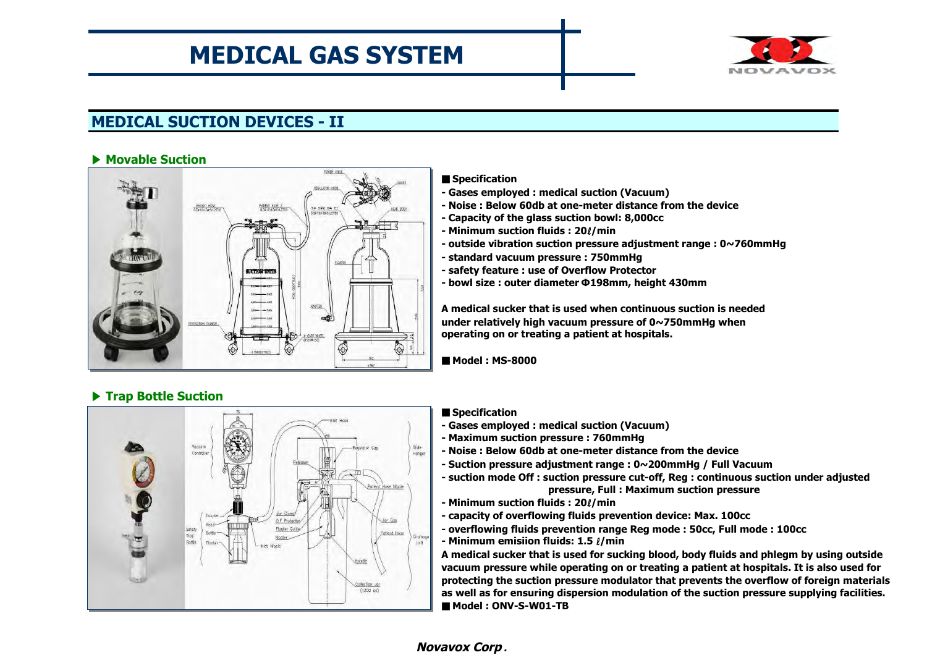

## **MEDICAL SUCTION DEVICES - II**

#### ▶ **Movable Suction**

▶ **Trap Bottle Suction**



#### ■ **Specification**

- **Gases employed : medical suction (Vacuum)**
- **Noise : Below 60db at one-meter distance from the device**
- **Capacity of the glass suction bowl: 8,000cc**
- **Minimum suction fluids : 20**ℓ**/min**
- **outside vibration suction pressure adjustment range : 0~760mmHg**
- **standard vacuum pressure : 750mmHg**
- **safety feature : use of Overflow Protector**
- **bowl size : outer diameter Φ 198mm, height 430mm**

**A medical sucker that is used when continuous suction is needed under relatively high vacuum pressure of 0~750mmHg when operating on or treating a patient at hospitals.**

■ Model: MS-8000

#### Silde<br>Honger Vocuur Jar Clamp O.F Protecter Jor Cop **ANTI LITTE** Flooter Guide Satet Patient Hose Trac Elegter Bott Unit Handle Collection Jan<br>(1200 cc)

#### ■ **Specification**

- **Gases employed : medical suction (Vacuum)**
- **Maximum suction pressure : 760mmHg**
- **Noise : Below 60db at one-meter distance from the device**
- **Suction pressure adjustment range : 0~200mmHg / Full Vacuum**
- **suction mode Off : suction pressure cut-off, Reg : continuous suction under adjusted pressure, Full : Maximum suction pressure**
- **Minimum suction fluids : 20**ℓ**/min**
- **capacity of overflowing fluids prevention device: Max. 100cc**
- **overflowing fluids prevention range Reg mode : 50cc, Full mode : 100cc**
- **Minimum emisiion fluids: 1.5** ℓ**/min**

**A medical sucker that is used for sucking blood, body fluids and phlegm by using outside vacuum pressure while operating on or treating a patient at hospitals. It is also used for protecting the suction pressure modulator that prevents the overflow of foreign materials as well as for ensuring dispersion modulation of the suction pressure supplying facilities.** ■ **Model : ONV-S-W01-TB**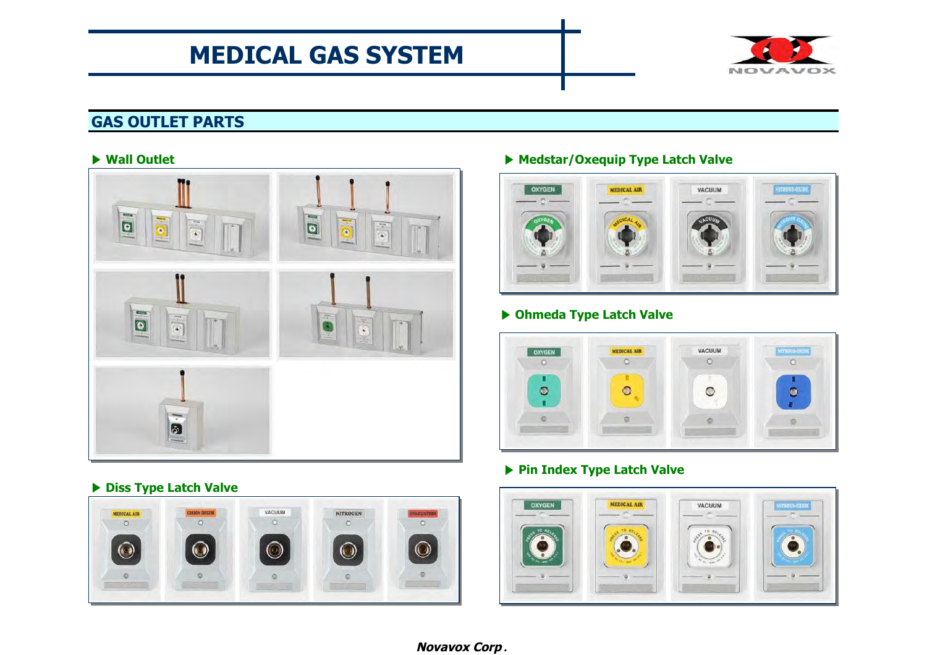

## **GAS OUTLET PARTS**



### ▶ **Diss Type Latch Valve**



### ▶ **Wall Outlet** ▶ **Medstar/Oxequip Type Latch Valve**



### ▶ **Ohmeda Type Latch Valve**



### ▶ **Pin Index Type Latch Valve**

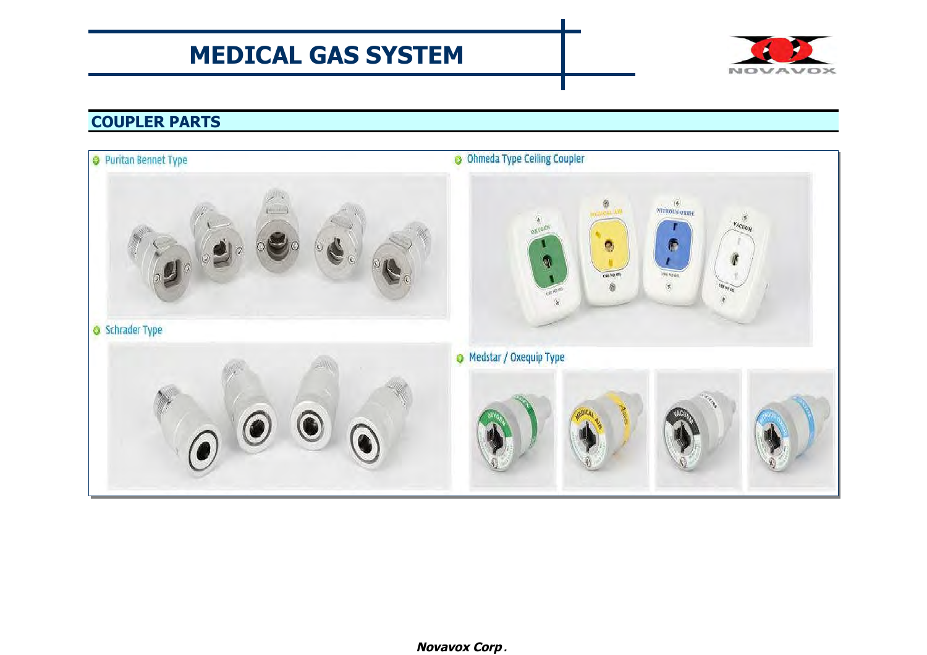

## **COUPLER PARTS**